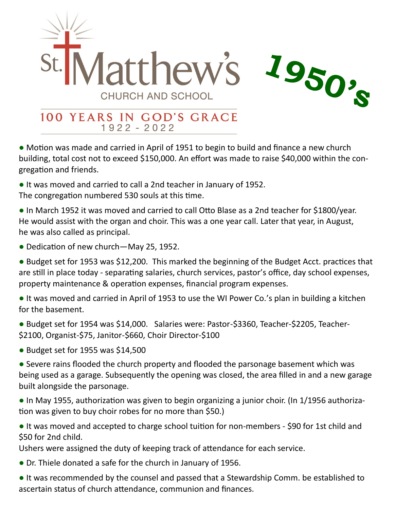

## 100 YEARS IN GOD'S GRACE  $1922 - 2022$

**●** Motion was made and carried in April of 1951 to begin to build and finance a new church building, total cost not to exceed \$150,000. An effort was made to raise \$40,000 within the congregation and friends.

**●** It was moved and carried to call a 2nd teacher in January of 1952.

The congregation numbered 530 souls at this time.

- In March 1952 it was moved and carried to call Otto Blase as a 2nd teacher for \$1800/year. He would assist with the organ and choir. This was a one year call. Later that year, in August, he was also called as principal.
- Dedication of new church—May 25, 1952.

**●** Budget set for 1953 was \$12,200. This marked the beginning of the Budget Acct. practices that are still in place today - separating salaries, church services, pastor's office, day school expenses, property maintenance & operation expenses, financial program expenses.

**●** It was moved and carried in April of 1953 to use the WI Power Co.'s plan in building a kitchen for the basement.

**●** Budget set for 1954 was \$14,000. Salaries were: Pastor-\$3360, Teacher-\$2205, Teacher- \$2100, Organist-\$75, Janitor-\$660, Choir Director-\$100

**●** Budget set for 1955 was \$14,500

**●** Severe rains flooded the church property and flooded the parsonage basement which was being used as a garage. Subsequently the opening was closed, the area filled in and a new garage built alongside the parsonage.

- In May 1955, authorization was given to begin organizing a junior choir. (In 1/1956 authorization was given to buy choir robes for no more than \$50.)
- It was moved and accepted to charge school tuition for non-members \$90 for 1st child and \$50 for 2nd child.

Ushers were assigned the duty of keeping track of attendance for each service.

- Dr. Thiele donated a safe for the church in January of 1956.
- It was recommended by the counsel and passed that a Stewardship Comm. be established to ascertain status of church attendance, communion and finances.